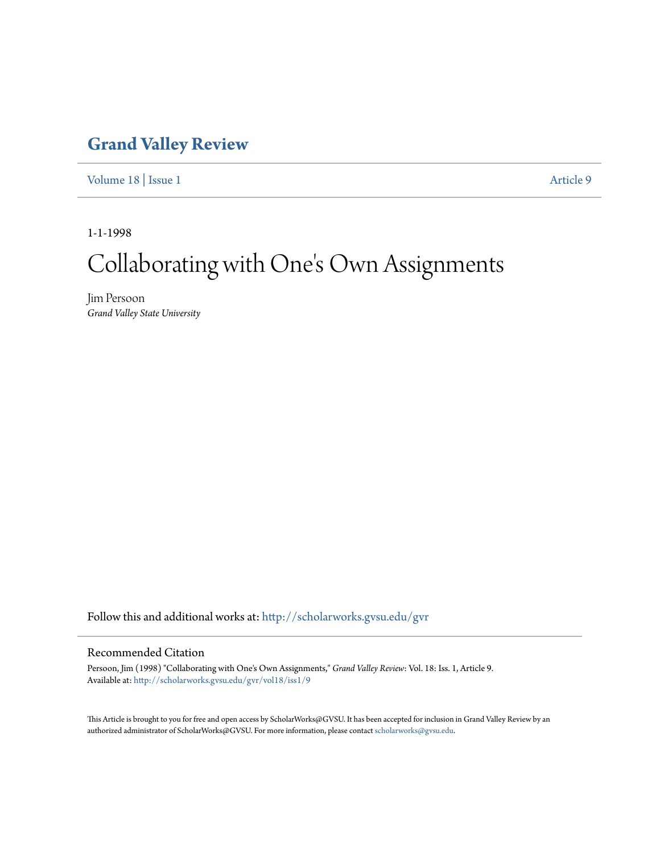# **[Grand Valley Review](http://scholarworks.gvsu.edu/gvr?utm_source=scholarworks.gvsu.edu%2Fgvr%2Fvol18%2Fiss1%2F9&utm_medium=PDF&utm_campaign=PDFCoverPages)**

[Volume 18](http://scholarworks.gvsu.edu/gvr/vol18?utm_source=scholarworks.gvsu.edu%2Fgvr%2Fvol18%2Fiss1%2F9&utm_medium=PDF&utm_campaign=PDFCoverPages) | [Issue 1](http://scholarworks.gvsu.edu/gvr/vol18/iss1?utm_source=scholarworks.gvsu.edu%2Fgvr%2Fvol18%2Fiss1%2F9&utm_medium=PDF&utm_campaign=PDFCoverPages) [Article 9](http://scholarworks.gvsu.edu/gvr/vol18/iss1/9?utm_source=scholarworks.gvsu.edu%2Fgvr%2Fvol18%2Fiss1%2F9&utm_medium=PDF&utm_campaign=PDFCoverPages)

1-1-1998

# Collaborating with One 's Own Assignments

Jim Persoon *Grand Valley State University*

Follow this and additional works at: [http://scholarworks.gvsu.edu/gvr](http://scholarworks.gvsu.edu/gvr?utm_source=scholarworks.gvsu.edu%2Fgvr%2Fvol18%2Fiss1%2F9&utm_medium=PDF&utm_campaign=PDFCoverPages)

### Recommended Citation

Persoon, Jim (1998) "Collaborating with One's Own Assignments," *Grand Valley Review*: Vol. 18: Iss. 1, Article 9. Available at: [http://scholarworks.gvsu.edu/gvr/vol18/iss1/9](http://scholarworks.gvsu.edu/gvr/vol18/iss1/9?utm_source=scholarworks.gvsu.edu%2Fgvr%2Fvol18%2Fiss1%2F9&utm_medium=PDF&utm_campaign=PDFCoverPages)

This Article is brought to you for free and open access by ScholarWorks@GVSU. It has been accepted for inclusion in Grand Valley Review by an authorized administrator of ScholarWorks@GVSU. For more information, please contact [scholarworks@gvsu.edu.](mailto:scholarworks@gvsu.edu)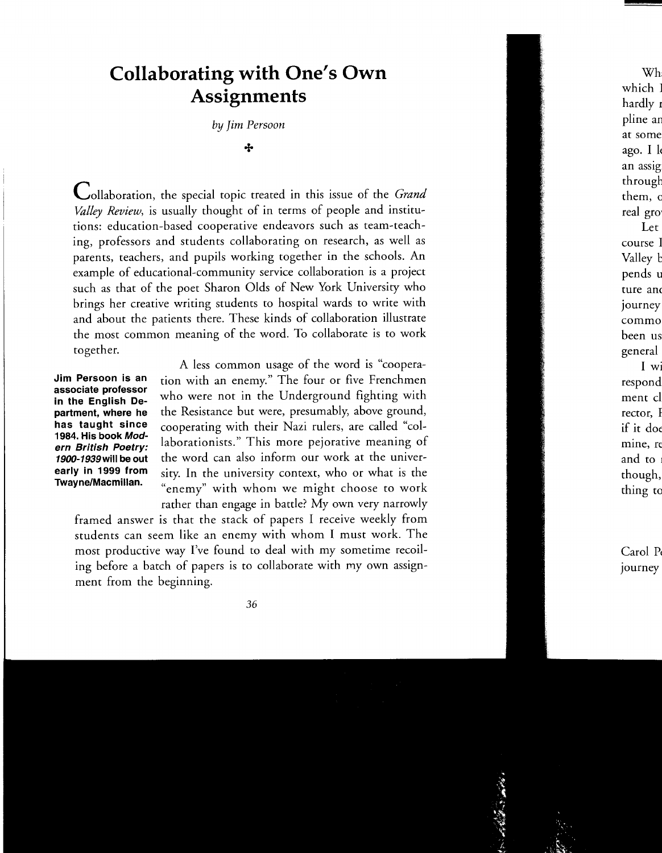# **Collaborating with One's Own Assignments**

by *Jim Persoon* 

#### +

Collaboration, the special topic treated in this issue of the *Grand Valley Review,* is usually thought of in terms of people and institutions: education-based cooperative endeavors such as team-teaching, professors and students collaborating on research, as well as parents, teachers, and pupils working together in the schools. An example of educational-community service collaboration is a project such as that of the poet Sharon Olds of New York University who brings her creative writing students to hospital wards to write with and about the patients there. These kinds of collaboration illustrate the most common meaning of the word. To collaborate is to work together.

**Jim Persoon is an associate professor in the English Department, where he has taught since 1984. His book Modern British Poetry: 1900-1939will be out early in 1999 from Twayne/Macmillan.** 

A less common usage of the word is "cooperation with an enemy." The four or five Frenchmen who were not in the Underground fighting with the Resistance but were, presumably, above ground, cooperating with their Nazi rulers, are called "collaborationists." This more pejorative meaning of the word can also inform our work at the university. In the university context, who or what is the "enemy" with whom we might choose to work rather than engage in battle? My own very narrowly

framed answer is that the stack of papers I receive weekly from students can seem like an enemy with whom I must work. The most productive way I've found to deal with my sometime recoiling before a batch of papers is to collaborate with my own assignment from the beginning.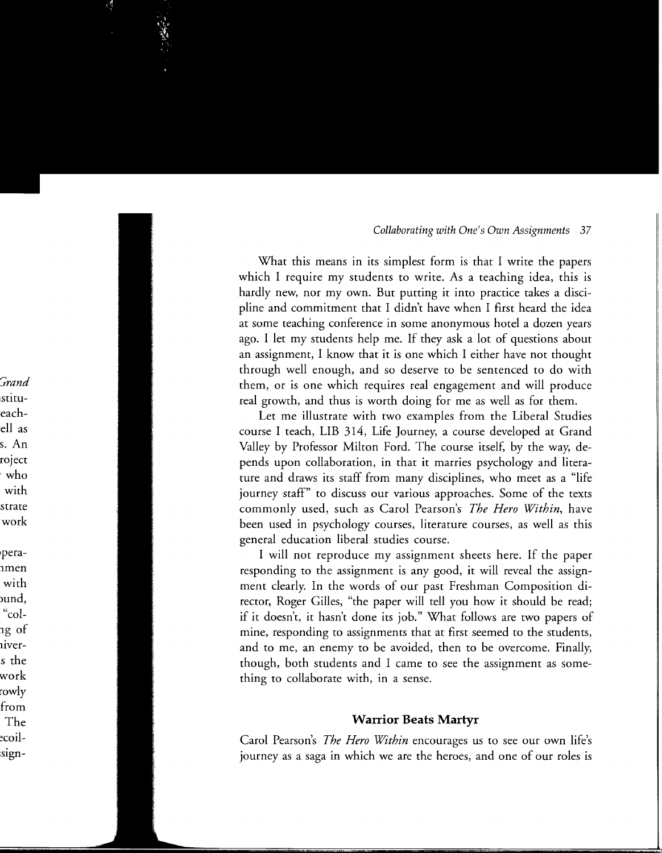What this means in its simplest form is that I write the papers which I require my students to write. As a teaching idea, this is hardly new, nor my own. But putting it into practice takes a discipline and commitment that I didn't have when I first heard the idea at some teaching conference in some anonymous hotel a dozen years ago. I let my students help me. If they ask a lot of questions about an assignment, I know that it is one which I either have not thought through well enough, and so deserve to be sentenced to do with them, or is one which requires real engagement and will produce real growth, and thus is worth doing for me as well as for them.

Let me illustrate with two examples from the Liberal Studies course I teach, LIB 314, Life Journey, a course developed at Grand Valley by Professor Milton Ford. The course itself, by the way, depends upon collaboration, in that it marries psychology and literature and draws its staff from many disciplines, who meet as a "life journey staff" to discuss our various approaches. Some of the texts commonly used, such as Carol Pearson's *The Hero Within,* have been used in psychology courses, literature courses, as well as this general education liberal studies course.

I will not reproduce my assignment sheets here. If the paper responding to the assignment is any good, it will reveal the assignment clearly. In the words of our past Freshman Composition director, Roger Gilles, "the paper will tell you how it should be read; if it doesn't, it hasn't done its job." What follows are two papers of mine, responding to assignments that at first seemed to the students, and to me, an enemy to be avoided, then to be overcome. Finally, though, both students and I came to see the assignment as something to collaborate with, in a sense.

# **Warrior Beats Martyr**

Carol Pearson's *The Hero Within* encourages us to see our own life's journey as a saga in which we are the heroes, and one of our roles is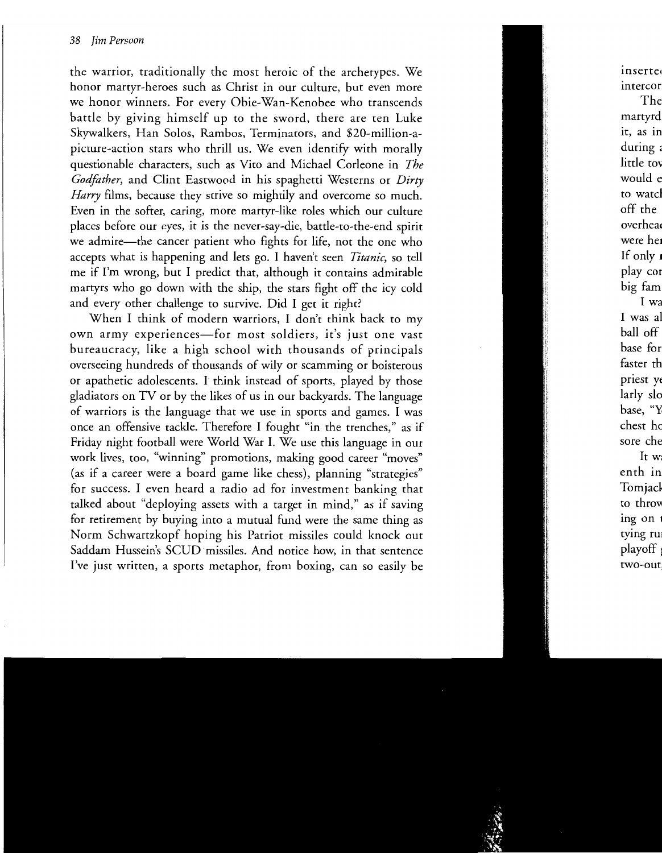the warrior, traditionally the most heroic of the archetypes. We honor martyr-heroes such as Christ in our culture, but even more we honor winners. For every Obie-Wan-Kenobee who transcends battle by giving himself up to the sword, there are ten Luke Skywalkers, Han Solos, Rambos, Terminators, and \$20-million-apicture-action stars who thrill us. We even identify with morally questionable characters, such as Vito and Michael Corleone in *The Godfather,* and Clint Eastwood in his spaghetti Westerns or *Dirty Harry* films, because they strive so mightily and overcome so much. Even in the softer, caring, more martyr-like roles which our culture places before our eyes, it is the never-say-die, battle-to-the-end spirit we admire-the cancer patient who fights for life, not the one who accepts what is happening and lets go. I haven't seen *Titanic,* so tell me if I'm wrong, but I predict that, although it contains admirable martyrs who go down with the ship, the stars fight off the icy cold and every other challenge to survive. Did I get it right?

When I think of modern warriors, I don't think back to my own army experiences-for most soldiers, it's just one vast bureaucracy, like a high school with thousands of principals overseeing hundreds of thousands of wily or scamming or boisterous or apathetic adolescents. I think instead of sports, played by those gladiators on TV or by the likes of us in our backyards. The language of warriors is the language that we use in sports and games. I was once an offensive tackle. Therefore I fought "in the trenches," as if Friday night football were World War I. We use this language in our work lives, too, "winning" promotions, making good career "moves" (as if a career were a board game like chess), planning "strategies" for success. I even heard a radio ad for investment banking that talked about "deploying assets with a target in mind," as if saving for retirement by buying into a mutual fund were the same thing as Norm Schwartzkopf hoping his Patriot missiles could knock out Saddam Hussein's SCUD missiles. And notice how, in that sentence I've just written, a sports metaphor, from boxing, can so easily be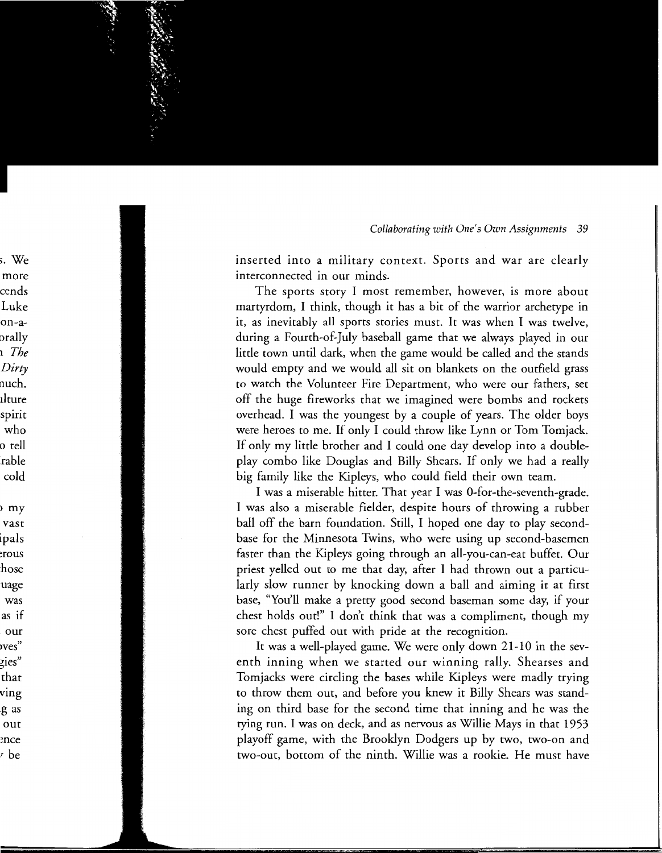inserted into a military context. Sports and war are clearly interconnected in our minds.

The sports story I most remember, however, is more about martyrdom, I think, though it has a bit of the warrior archetype in it, as inevitably all sports stories must. It was when I was twelve, during a Fourth-of-July baseball game that we always played in our little town until dark, when the game would be called and the stands would empty and we would all sit on blankets on the outfield grass to watch the Volunteer Fire Department, who were our fathers, set off the huge fireworks that we imagined were bombs and rockets overhead. I was the youngest by a couple of years. The older boys were heroes to me. If only I could throw like Lynn or Tom Tomjack. If only my little brother and I could one day develop into a doubleplay combo like Douglas and Billy Shears. If only we had a really big family like the Kipleys, who could field their own team.

I was a miserable hitter. That year I was 0-for-the-seventh-grade. I was also a miserable fielder, despite hours of throwing a rubber ball off the barn foundation. Still, I hoped one day to play secondbase for the Minnesota Twins, who were using up second-basemen faster than the Kipleys going through an all-you-can-eat buffet. Our priest yelled out to me that day, after I had thrown out a particularly slow runner by knocking down a ball and aiming it at first base, "You'll make a pretty good second baseman some day, if your chest holds out!" I don't think that was a compliment, though my sore chest puffed out with pride at the recognition.

It was a well-played game. We were only down 21-10 in the seventh inning when we started our winning rally. Shearses and Tomjacks were circling the bases while Kipleys were madly trying to throw them out, and before you knew it Billy Shears was standing on third base for the second time that inning and he was the tying run. I was on deck, and as nervous as Willie Mays in that 1953 playoff game, with the Brooklyn Dodgers up by two, two-on and two-out, bottom of the ninth. Willie was a rookie. He must have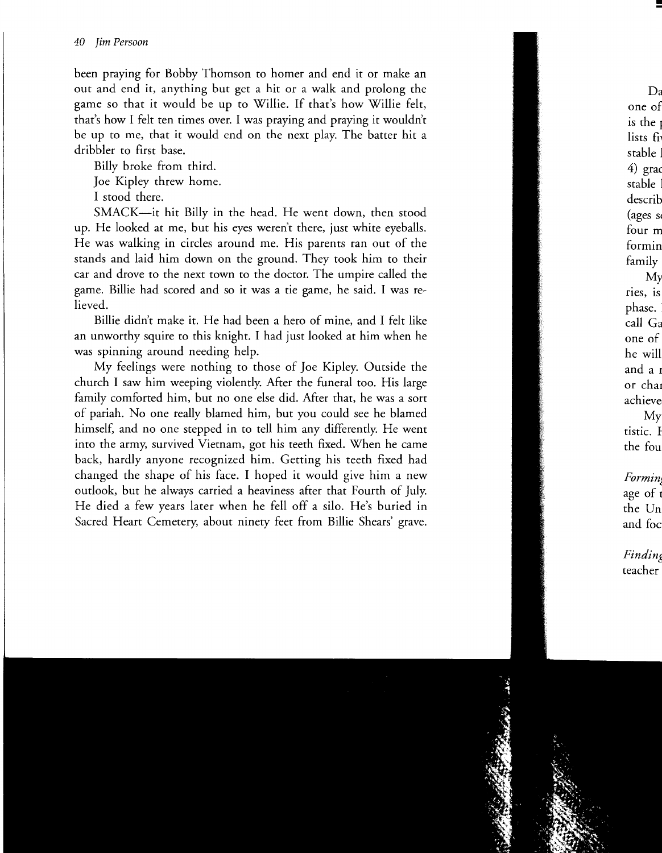been praying for Bobby Thomson to homer and end it or make an out and end it, anything but get a hit or a walk and prolong the game so that it would be up to Willie. If that's how Willie felt, that's how I felt ten times over. I was praying and praying it wouldn't be up to me, that it would end on the next play. The batter hit a dribbler to first base.

Billy broke from third.

Joe Kipley threw home.

I stood there.

SMACK-it hit Billy in the head. He went down, then stood up. He looked at me, but his eyes weren't there, just white eyeballs. He was walking in circles around me. His parents ran out of the stands and laid him down on the ground. They took him to their car and drove to the next town to the doctor. The umpire called the game. Billie had scored and so it was a tie game, he said. I was relieved.

Billie didn't make it. He had been a hero of mine, and I felt like an unworthy squire to this knight. I had just looked at him when he was spinning around needing help.

My feelings were nothing to those of Joe Kipley. Outside the church I saw him weeping violently. Mter the funeral too. His large family comforted him, but no one else did. After that, he was a sort of pariah. No one really blamed him, but you could see he blamed himself, and no one stepped in to tell him any differently. He went into the army, survived Vietnam, got his teeth fixed. When he came back, hardly anyone recognized him. Getting his teeth fixed had changed the shape of his face. I hoped it would give him a new outlook, but he always carried a heaviness after that Fourth of July. He died a few years later when he fell off a silo. He's buried in Sacred Heart Cemetery, about ninety feet from Billie Shears' grave.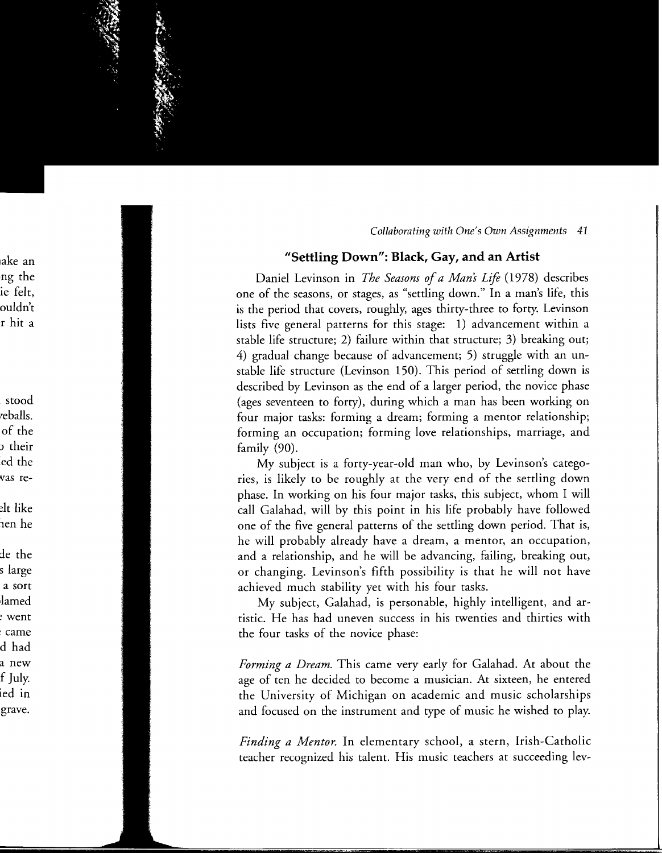## **11Settling Down": Black, Gay, and an Artist**

Daniel Levinson in *The Seasons of a Man's Life* (1978) describes one of the seasons, or stages, as "settling down." In a man's life, this is the period that covers, roughly, ages thirty-three to forty. Levinson lists five general patterns for this stage: 1) advancement within a stable life structure; 2) failure within that structure; 3) breaking out; 4) gradual change because of advancement; 5) struggle with an unstable life structure (Levinson 150). This period of settling down is described by Levinson as the end of a larger period, the novice phase (ages seventeen to forty), during which a man has been working on four major tasks: forming a dream; forming a mentor relationship; forming an occupation; forming love relationships, marriage, and family (90).

My subject is a forty-year-old man who, by Levinson's categories, is likely to be roughly at the very end of the settling down phase. In working on his four major tasks, this subject, whom I will call Galahad, will by this point in his life probably have followed one of the five general patterns of the settling down period. That is, he will probably already have a dream, a mentor, an occupation, and a relationship, and he will be advancing, failing, breaking out, or changing. Levinson's fifth possibility is that he will not have achieved much stability yet with his four tasks.

My subject, Galahad, is personable, highly intelligent, and artistic. He has had uneven success in his twenties and thirties with the four tasks of the novice phase:

*Forming a Dream.* This came very early for Galahad. At about the age of ten he decided to become a musician. At sixteen, he entered the University of Michigan on academic and music scholarships and focused on the instrument and type of music he wished to play.

*Finding a Mentor.* In elementary school, a stern, Irish-Catholic teacher recognized his talent. His music teachers at succeeding lev-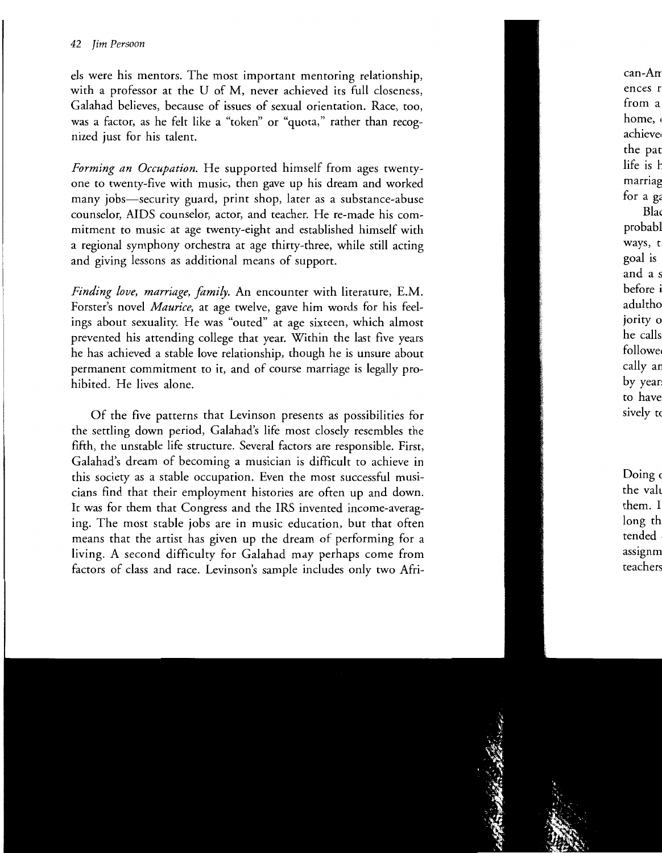els were his mentors. The most important mentoring relationship, with a professor at the U of M, never achieved its full closeness, Galahad believes, because of issues of sexual orientation. Race, too, was a factor, as he felt like a "token" or "quota," rather than recognized just for his talent.

*Forming an Occupation.* He supported himself from ages twentyone to twenty-five with music, then gave up his dream and worked many jobs-security guard, print shop, later as a substance-abuse counselor, AIDS counselor, actor, and teacher. He re-made his commitment to music at age twenty-eight and established himself with a regional symphony orchestra at age thirty-three, while still acting and giving lessons as additional means of support.

*Finding love, marriage, family.* An encounter with literature, E.M. Forster's novel *Maurice,* at age twelve, gave him words for his feelings about sexuality. He was "outed" at age sixteen, which almost prevented his attending college that year. Within the last five years he has achieved a stable love relationship, though he is unsure about permanent commitment to it, and of course marriage is legally prohibited. He lives alone.

Of the five patterns that Levinson presents as possibilities for the settling down period, Galahad's life most closely resembles the fifth, the unstable life structure. Several factors are responsible. First, Galahad's dream of becoming a musician is difficult to achieve in this society as a stable occupation. Even the most successful musicians find that their employment histories are often up and down. It was for them that Congress and the IRS invented income-averaging. The most stable jobs are in music education, but that often means that the artist has given up the dream of performing for a living. A second difficulty for Galahad may perhaps come from factors of class and race. Levinson's sample includes only two Afri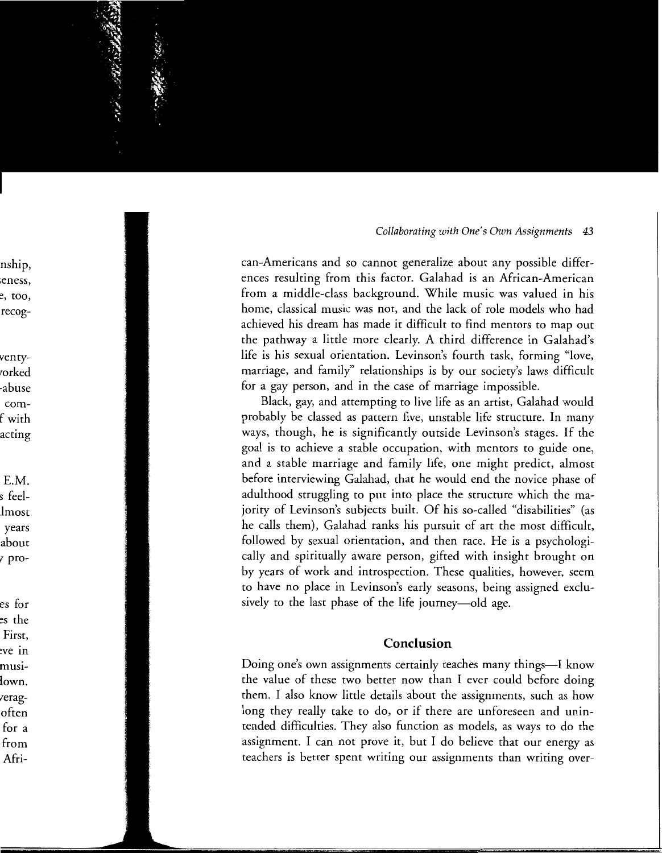can-Americans and so cannot generalize about any possible differences resulting from this factor. Galahad is an African-American from a middle-class background. While music was valued in his home, classical music was not, and the lack of role models who had achieved his dream has made it difficult to find mentors to map out the pathway a little more clearly. A third difference in Galahad's life is his sexual orientation. Levinson's fourth task, forming "love, marriage, and family" relationships is by our society's laws difficult for a gay person, and in the case of marriage impossible.

Black, gay, and attempting to live life as an artist, Galahad would probably be classed as pattern five, unstable life structure. In many ways, though, he is significantly outside Levinson's stages. If the goal is to achieve a stable occupation, with mentors to guide one, and a stable marriage and family life, one might predict, almost before interviewing Galahad, that he would end the novice phase of adulthood struggling to put into place the structure which the majority of Levinson's subjects built. Of his so-called "disabilities" (as he calls them), Galahad ranks his pursuit of art the most difficult, followed by sexual orientation, and then race. He is a psychologically and spiritually aware person, gifted with insight brought on by years of work and introspection. These qualities, however, seem to have no place in Levinson's early seasons, being assigned exclusively to the last phase of the life journey—old age.

# **Conclusion**

Doing one's own assignments certainly teaches many things-I know the value of these two better now than I ever could before doing them. I also know little details about the assignments, such as how long they really take to do, or if there are unforeseen and unintended difficulties. They also function as models, as ways to do the assignment. I can not prove it, but I do believe that our energy as teachers is better spent writing our assignments than writing over